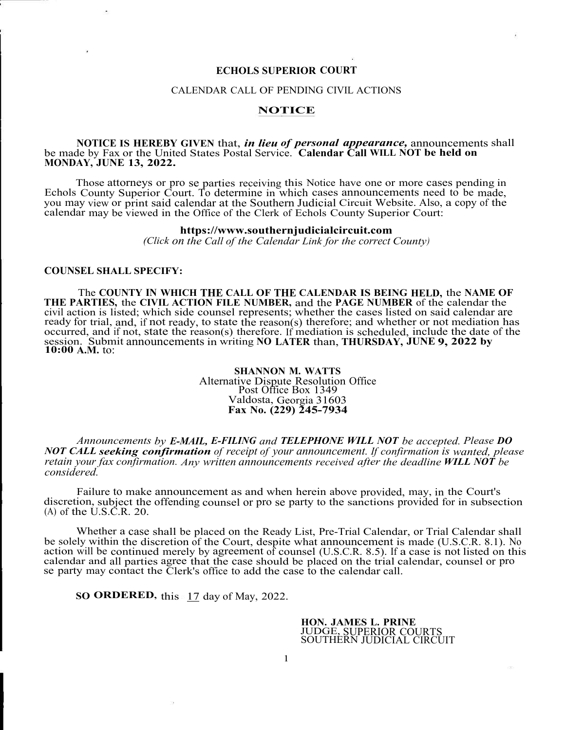# **ECHOLS SUPERIOR COURT**

## CALENDAR CALL OF PENDING CIVIL ACTIONS

### **NOTICE**

### **NOTICE IS HEREBY GIVEN** that, *in lieu of personal appearance,* announcements shall be made by Fax or the United States Postal Service. **Calendar Call WILL NOT be held on MONDAY, JUNE 13, 2022.**

Those attorneys or pro se parties receiving this Notice have one or more cases pending in Echols County Superior Court. To determine in which cases announcements need to be made, you may view or print said calendar at the Southern Judicial Circuit Website. Also, a copy of the calendar may be viewed in the Office of the Clerk of Echols County Superior Court:

### **https://www.southernjudicialcircuit.com**

*(Click on the Call of the Calendar Link for the correct County)* 

### **COUNSEL SHALL SPECIFY:**

The **COUNTY IN WHICH THE CALL OF THE CALENDAR IS BEING HELD,** the **NAME OF THE PARTIES,** the **CIVIL ACTION FILE NUMBER,** and the **PAGE NUMBER** of the calendar the civil action is listed; which side counsel represents; whether the cases listed on said calendar are ready for trial, and, if not ready, to state the reason(s) therefore; and whether or not mediation has occurred, and if not, state the reason(s) therefore. If mediation is scheduled, include the date of the session. Submit announcements in writing **NO LATER** than, **THURSDAY, JUNE 9, 2022 by 10:00 A.M.** to:

# **SHANNON M. WATTS**  Alternative Dispute Resolution Office Post Office Box 1349 Valdosta, Georgia 31603 **Fax No. (229) 245-7934**

*Announcements by E-MAIL, E-FILING and TELEPHONE WILL NOT be accepted. Please DO NOT CALL seeking confirmation of receipt of your announcement. If confirmation is wanted, please retain your fax confirmation. Any written announcements received after the deadline WILL NOT be considered.* 

Failure to make announcement as and when herein above provided, may, in the Court's discretion, subject the offending counsel or pro se party to the sanctions provided for in subsection  $(A)$  of the U.S.C.R. 20.

Whether a case shall be placed on the Ready List, Pre-Trial Calendar, or Trial Calendar shall be solely within the discretion of the Court, despite what announcement is made (U.S.C.R. 8.1). No action will be continued merely by agreement of counsel (U.S.C.R. 8.5). If a case is not listed on this calendar and all parties agree that the case should be placed on the trial calendar, counsel or pro se party may contact the Clerk's office to add the case to the calendar call.

**SO ORDERED,** this 17 day of May, 2022.

**HON. JAMES L. PRINE**  JUDGE, SUPERIOR COURTS SOUTHERN JUDICIAL CIRCUIT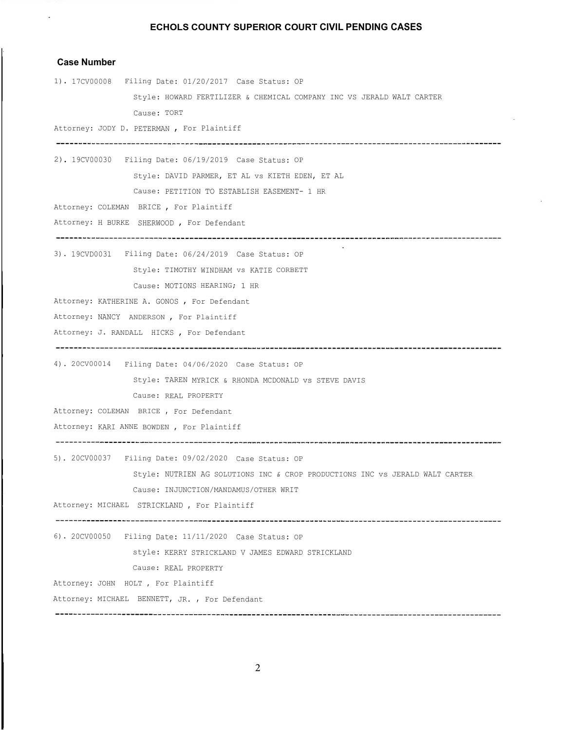# **Case Number**

 $\bar{\Sigma}$ 

| 1). 17CV00008 Filing Date: 01/20/2017 Case Status: OP                        |
|------------------------------------------------------------------------------|
| Style: HOWARD FERTILIZER & CHEMICAL COMPANY INC VS JERALD WALT CARTER        |
| Cause: TORT                                                                  |
| Attorney: JODY D. PETERMAN, For Plaintiff                                    |
| 2). 19CV00030 Filing Date: 06/19/2019 Case Status: OP                        |
| Style: DAVID PARMER, ET AL vs KIETH EDEN, ET AL                              |
| Cause: PETITION TO ESTABLISH EASEMENT- 1 HR                                  |
| Attorney: COLEMAN BRICE, For Plaintiff                                       |
| Attorney: H BURKE SHERWOOD , For Defendant                                   |
| 3). 19CVD0031 Filing Date: 06/24/2019 Case Status: OP                        |
| Style: TIMOTHY WINDHAM vs KATIE CORBETT                                      |
| Cause: MOTIONS HEARING; 1 HR                                                 |
| Attorney: KATHERINE A. GONOS , For Defendant                                 |
| Attorney: NANCY ANDERSON, For Plaintiff                                      |
| Attorney: J. RANDALL HICKS, For Defendant                                    |
|                                                                              |
| 4). 20CV00014 Filing Date: 04/06/2020 Case Status: OP                        |
| Style: TAREN MYRICK & RHONDA MCDONALD VS STEVE DAVIS                         |
| Cause: REAL PROPERTY                                                         |
| Attorney: COLEMAN BRICE, For Defendant                                       |
| Attorney: KARI ANNE BOWDEN, For Plaintiff                                    |
| 5). 20CV00037 Filing Date: 09/02/2020 Case Status: OP                        |
| Style: NUTRIEN AG SOLUTIONS INC & CROP PRODUCTIONS INC vs JERALD WALT CARTER |
| Cause: INJUNCTION/MANDAMUS/OTHER WRIT                                        |
| Attorney: MICHAEL STRICKLAND, For Plaintiff                                  |
| 6). 20CV00050 Filing Date: 11/11/2020 Case Status: OP                        |
| style: KERRY STRICKLAND V JAMES EDWARD STRICKLAND                            |
| Cause: REAL PROPERTY                                                         |
| Attorney: JOHN HOLT, For Plaintiff                                           |
| Attorney: MICHAEL BENNETT, JR., For Defendant                                |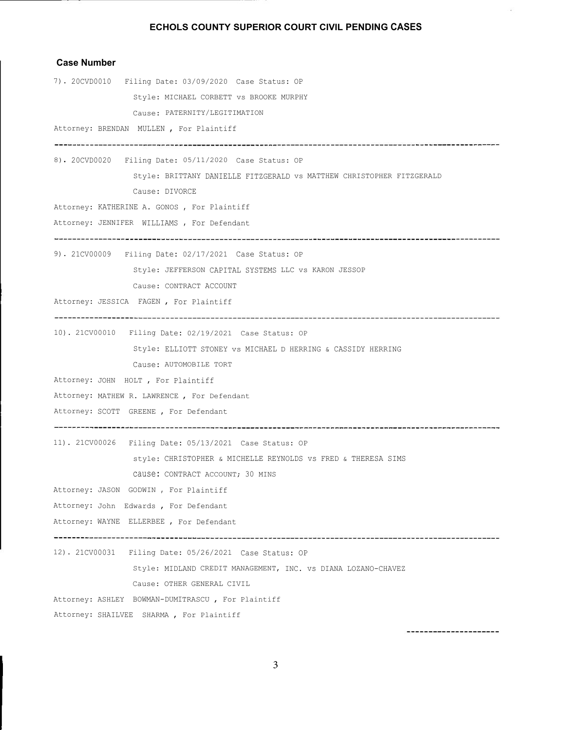$\hat{\epsilon}$ 

# **Case Number**

| 7). 20CVD0010 Filing Date: 03/09/2020 Case Status: OP                 |
|-----------------------------------------------------------------------|
| Style: MICHAEL CORBETT vs BROOKE MURPHY                               |
| Cause: PATERNITY/LEGITIMATION                                         |
| Attorney: BRENDAN MULLEN, For Plaintiff                               |
| 8). 20CVD0020    Filing Date: 05/11/2020    Case Status: OP           |
| Style: BRITTANY DANIELLE FITZGERALD vs MATTHEW CHRISTOPHER FITZGERALD |
| Cause: DIVORCE                                                        |
| Attorney: KATHERINE A. GONOS, For Plaintiff                           |
| Attorney: JENNIFER WILLIAMS , For Defendant                           |
| 9). 21CV00009 Filing Date: 02/17/2021 Case Status: OP                 |
| Style: JEFFERSON CAPITAL SYSTEMS LLC vs KARON JESSOP                  |
| Cause: CONTRACT ACCOUNT                                               |
| Attorney: JESSICA FAGEN, For Plaintiff                                |
| 10). 21CV00010 Filing Date: 02/19/2021 Case Status: OP                |
| Style: ELLIOTT STONEY vs MICHAEL D HERRING & CASSIDY HERRING          |
| Cause: AUTOMOBILE TORT                                                |
| Attorney: JOHN HOLT, For Plaintiff                                    |
| Attorney: MATHEW R. LAWRENCE, For Defendant                           |
| Attorney: SCOTT GREENE, For Defendant                                 |
| 11). 21CV00026 Filing Date: 05/13/2021 Case Status: OP                |
| style: CHRISTOPHER & MICHELLE REYNOLDS vs FRED & THERESA SIMS         |
| Cause: CONTRACT ACCOUNT; 30 MINS                                      |
| Attorney: JASON GODWIN, For Plaintiff                                 |
| Attorney: John Edwards, For Defendant                                 |
| Attorney: WAYNE ELLERBEE, For Defendant                               |
| 12). 21CV00031 Filing Date: 05/26/2021 Case Status: OP                |
| Style: MIDLAND CREDIT MANAGEMENT, INC. VS DIANA LOZANO-CHAVEZ         |
| Cause: OTHER GENERAL CIVIL                                            |
| Attorney: ASHLEY BOWMAN-DUMITRASCU, For Plaintiff                     |
| Attorney: SHAILVEE SHARMA, For Plaintiff                              |

3

----------------------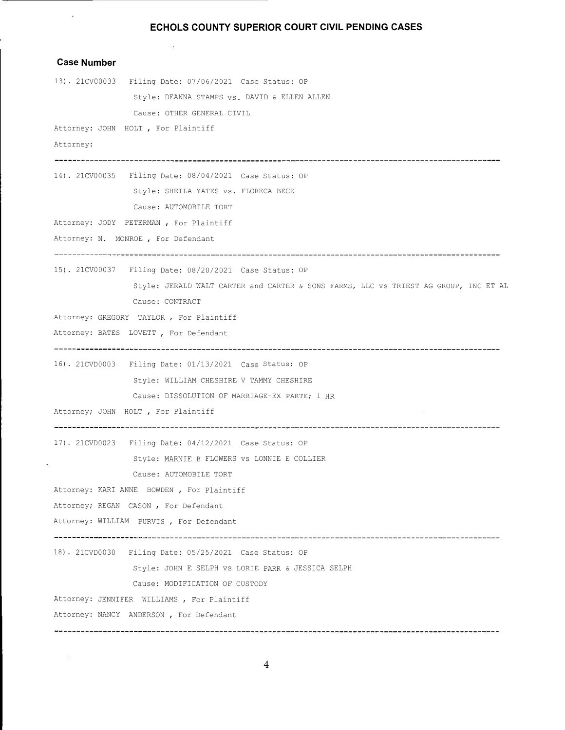# **Case Number**  13). 21CV00033 Filing Date: 07/06/2021 Case Status: OP Style: DEANNA STAMPS vs. DAVID & ELLEN ALLEN Cause: OTHER GENERAL CIVIL

Attorney: JOHN HOLT , For Plaintiff

Attorney:

 $\mathbf{v}$ 

14). 21CV00035 Filing Date: 08/04/2021 Case Status: OP Style: SHEILA YATES vs. FLORECA BECK Cause: AUTOMOBILE TORT

Attorney: JODY PETERMAN , For Plaintiff

Attorney: N. MONROE , For Defendant

15). 21CV00037 Filing Date: 08/20/2021 Case Status: OP

Style: JERALD WALT CARTER and CARTER *&* SONS FARMS, LLC vs TRIEST AG GROUP, INC ET AL Cause: CONTRACT

Attorney: GREGORY TAYLOR , For Plaintiff

Attorney: BATES LOVETT , For Defendant

16). 21CVD0003 Filing Date: 01/13/2021 Case Status; OP Style: WILLIAM CHESHIRE V TAMMY CHESHIRE

Cause: DISSOLUTION OF MARRIAGE-EX PARTE; 1 HR

Attorney; JOHN HOLT , For Plaintiff

17). 21CVD0023 Filing Date: 04/12/2021 Case Status: OP

Style: MARNIE B FLOWERS vs LONNIE E COLLIER

Cause: AUTOMOBILE TORT

Attorney: KARI ANNE BOWDEN , For Plaintiff

Attorney; REGAN CASON, For Defendant

Attorney: WILLIAM PURVIS , For Defendant

18). 21CVD0030 Filing Date: 05/25/2021 Case Status: OP

Style: JOHN E SELPH vs LORIE PARR & JESSICA SELPH

Cause: MODIFICATION OF CUSTODY

Attorney: JENNIFER WILLIAMS , For Plaintiff

Attorney: NANCY ANDERSON , For Defendant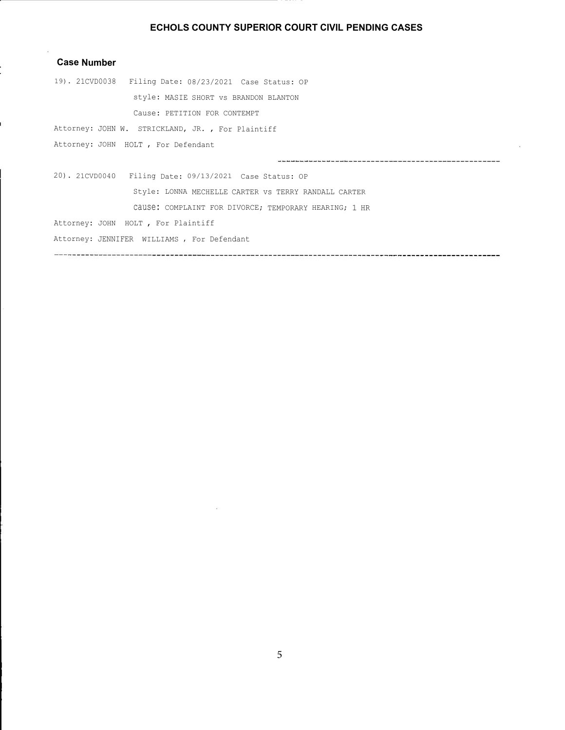## **Case Number**

ı

19). 21CVD0038 Filing Date: 08/23/2021 Case Status: OP style: MASIE SHORT vs BRANDON BLANTON Cause: PETITION FOR CONTEMPT

Attorney: JOHN W. STRICKLAND, JR. , For Plaintiff

Attorney: JOHN HOLT , For Defendant

20). 21CVD0040 Filing Date: 09/13/2021 Case Status: OP Style: LONNA MECHELLE CARTER vs TERRY RANDALL CARTER

cause: COMPLAINT FOR DIVORCE; TEMPORARY HEARING; 1 HR

Attorney: JOHN HOLT , For Plaintiff

Attorney: JENNIFER WILLIAMS , For Defendant